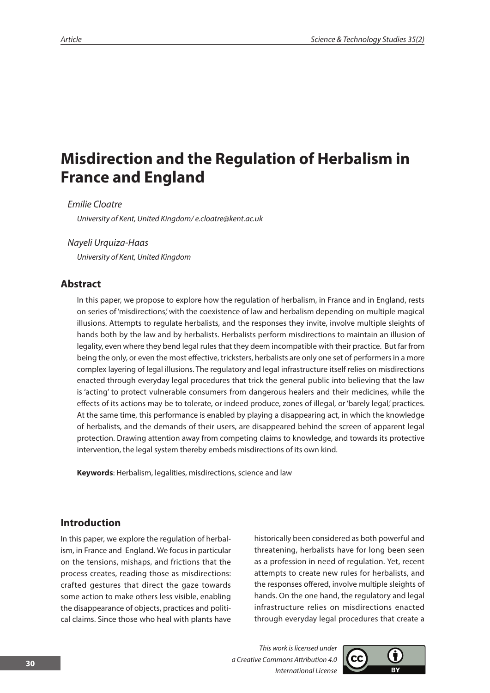# **Misdirection and the Regulation of Herbalism in France and England**

*Emilie Cloatre*

*University of Kent, United Kingdom/ e.cloatre@kent.ac.uk*

#### *Nayeli Urquiza-Haas*

*University of Kent, United Kingdom*

## **Abstract**

In this paper, we propose to explore how the regulation of herbalism, in France and in England, rests on series of 'misdirections,' with the coexistence of law and herbalism depending on multiple magical illusions. Attempts to regulate herbalists, and the responses they invite, involve multiple sleights of hands both by the law and by herbalists. Herbalists perform misdirections to maintain an illusion of legality, even where they bend legal rules that they deem incompatible with their practice. But far from being the only, or even the most effective, tricksters, herbalists are only one set of performers in a more complex layering of legal illusions. The regulatory and legal infrastructure itself relies on misdirections enacted through everyday legal procedures that trick the general public into believing that the law is 'acting' to protect vulnerable consumers from dangerous healers and their medicines, while the effects of its actions may be to tolerate, or indeed produce, zones of illegal, or 'barely legal,' practices. At the same time, this performance is enabled by playing a disappearing act, in which the knowledge of herbalists, and the demands of their users, are disappeared behind the screen of apparent legal protection. Drawing attention away from competing claims to knowledge, and towards its protective intervention, the legal system thereby embeds misdirections of its own kind.

**Keywords**: Herbalism, legalities, misdirections, science and law

## **Introduction**

In this paper, we explore the regulation of herbalism, in France and England. We focus in particular on the tensions, mishaps, and frictions that the process creates, reading those as misdirections: crafted gestures that direct the gaze towards some action to make others less visible, enabling the disappearance of objects, practices and political claims. Since those who heal with plants have

historically been considered as both powerful and threatening, herbalists have for long been seen as a profession in need of regulation. Yet, recent attempts to create new rules for herbalists, and the responses offered, involve multiple sleights of hands. On the one hand, the regulatory and legal infrastructure relies on misdirections enacted through everyday legal procedures that create a

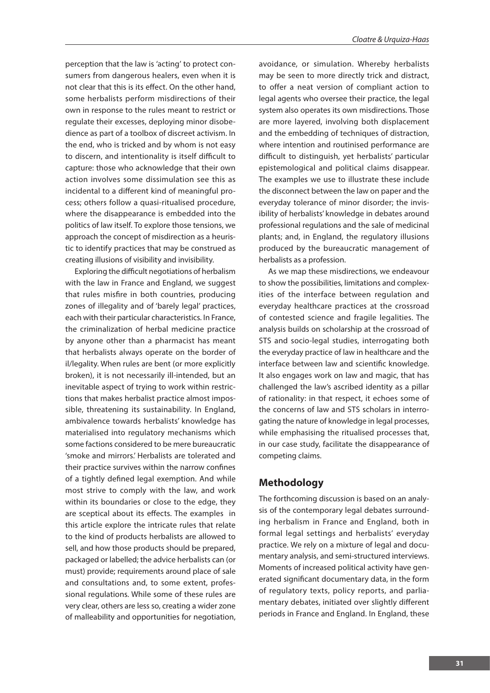perception that the law is 'acting' to protect consumers from dangerous healers, even when it is not clear that this is its effect. On the other hand, some herbalists perform misdirections of their own in response to the rules meant to restrict or regulate their excesses, deploying minor disobedience as part of a toolbox of discreet activism. In the end, who is tricked and by whom is not easy to discern, and intentionality is itself difficult to capture: those who acknowledge that their own action involves some dissimulation see this as incidental to a different kind of meaningful process; others follow a quasi-ritualised procedure, where the disappearance is embedded into the politics of law itself. To explore those tensions, we approach the concept of misdirection as a heuristic to identify practices that may be construed as creating illusions of visibility and invisibility.

Exploring the difficult negotiations of herbalism with the law in France and England, we suggest that rules misfire in both countries, producing zones of illegality and of 'barely legal' practices, each with their particular characteristics. In France, the criminalization of herbal medicine practice by anyone other than a pharmacist has meant that herbalists always operate on the border of il/legality. When rules are bent (or more explicitly broken), it is not necessarily ill-intended, but an inevitable aspect of trying to work within restrictions that makes herbalist practice almost impossible, threatening its sustainability. In England, ambivalence towards herbalists' knowledge has materialised into regulatory mechanisms which some factions considered to be mere bureaucratic 'smoke and mirrors.' Herbalists are tolerated and their practice survives within the narrow confines of a tightly defined legal exemption. And while most strive to comply with the law, and work within its boundaries or close to the edge, they are sceptical about its effects. The examples in this article explore the intricate rules that relate to the kind of products herbalists are allowed to sell, and how those products should be prepared, packaged or labelled; the advice herbalists can (or must) provide; requirements around place of sale and consultations and, to some extent, professional regulations. While some of these rules are very clear, others are less so, creating a wider zone of malleability and opportunities for negotiation,

avoidance, or simulation. Whereby herbalists may be seen to more directly trick and distract, to offer a neat version of compliant action to legal agents who oversee their practice, the legal system also operates its own misdirections. Those are more layered, involving both displacement and the embedding of techniques of distraction, where intention and routinised performance are difficult to distinguish, yet herbalists' particular epistemological and political claims disappear. The examples we use to illustrate these include the disconnect between the law on paper and the everyday tolerance of minor disorder; the invisibility of herbalists' knowledge in debates around professional regulations and the sale of medicinal plants; and, in England, the regulatory illusions produced by the bureaucratic management of herbalists as a profession.

As we map these misdirections, we endeavour to show the possibilities, limitations and complexities of the interface between regulation and everyday healthcare practices at the crossroad of contested science and fragile legalities. The analysis builds on scholarship at the crossroad of STS and socio-legal studies, interrogating both the everyday practice of law in healthcare and the interface between law and scientific knowledge. It also engages work on law and magic, that has challenged the law's ascribed identity as a pillar of rationality: in that respect, it echoes some of the concerns of law and STS scholars in interrogating the nature of knowledge in legal processes, while emphasising the ritualised processes that, in our case study, facilitate the disappearance of competing claims.

## **Methodology**

The forthcoming discussion is based on an analysis of the contemporary legal debates surrounding herbalism in France and England, both in formal legal settings and herbalists' everyday practice. We rely on a mixture of legal and documentary analysis, and semi-structured interviews. Moments of increased political activity have generated significant documentary data, in the form of regulatory texts, policy reports, and parliamentary debates, initiated over slightly different periods in France and England. In England, these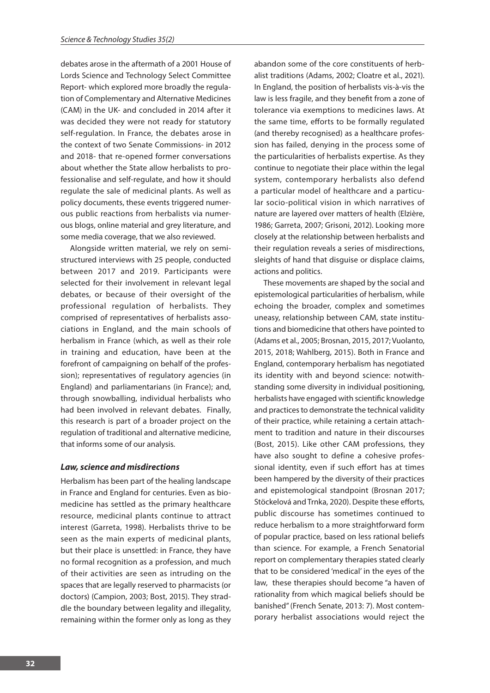debates arose in the aftermath of a 2001 House of Lords Science and Technology Select Committee Report- which explored more broadly the regulation of Complementary and Alternative Medicines (CAM) in the UK- and concluded in 2014 after it was decided they were not ready for statutory self-regulation. In France, the debates arose in the context of two Senate Commissions- in 2012 and 2018- that re-opened former conversations about whether the State allow herbalists to professionalise and self-regulate, and how it should regulate the sale of medicinal plants. As well as policy documents, these events triggered numerous public reactions from herbalists via numerous blogs, online material and grey literature, and some media coverage, that we also reviewed.

Alongside written material, we rely on semistructured interviews with 25 people, conducted between 2017 and 2019. Participants were selected for their involvement in relevant legal debates, or because of their oversight of the professional regulation of herbalists. They comprised of representatives of herbalists associations in England, and the main schools of herbalism in France (which, as well as their role in training and education, have been at the forefront of campaigning on behalf of the profession); representatives of regulatory agencies (in England) and parliamentarians (in France); and, through snowballing, individual herbalists who had been involved in relevant debates. Finally, this research is part of a broader project on the regulation of traditional and alternative medicine, that informs some of our analysis.

#### *Law, science and misdirections*

Herbalism has been part of the healing landscape in France and England for centuries. Even as biomedicine has settled as the primary healthcare resource, medicinal plants continue to attract interest (Garreta, 1998). Herbalists thrive to be seen as the main experts of medicinal plants, but their place is unsettled: in France, they have no formal recognition as a profession, and much of their activities are seen as intruding on the spaces that are legally reserved to pharmacists (or doctors) (Campion, 2003; Bost, 2015). They straddle the boundary between legality and illegality, remaining within the former only as long as they

abandon some of the core constituents of herbalist traditions (Adams, 2002; Cloatre et al., 2021). In England, the position of herbalists vis-à-vis the law is less fragile, and they benefit from a zone of tolerance via exemptions to medicines laws. At the same time, efforts to be formally regulated (and thereby recognised) as a healthcare profession has failed, denying in the process some of the particularities of herbalists expertise. As they continue to negotiate their place within the legal system, contemporary herbalists also defend a particular model of healthcare and a particular socio-political vision in which narratives of nature are layered over matters of health (Elzière, 1986; Garreta, 2007; Grisoni, 2012). Looking more closely at the relationship between herbalists and their regulation reveals a series of misdirections, sleights of hand that disguise or displace claims, actions and politics.

These movements are shaped by the social and epistemological particularities of herbalism, while echoing the broader, complex and sometimes uneasy, relationship between CAM, state institutions and biomedicine that others have pointed to (Adams et al., 2005; Brosnan, 2015, 2017; Vuolanto, 2015, 2018; Wahlberg, 2015). Both in France and England, contemporary herbalism has negotiated its identity with and beyond science: notwithstanding some diversity in individual positioning, herbalists have engaged with scientific knowledge and practices to demonstrate the technical validity of their practice, while retaining a certain attachment to tradition and nature in their discourses (Bost, 2015). Like other CAM professions, they have also sought to define a cohesive professional identity, even if such effort has at times been hampered by the diversity of their practices and epistemological standpoint (Brosnan 2017; Stöckelová and Trnka, 2020). Despite these efforts, public discourse has sometimes continued to reduce herbalism to a more straightforward form of popular practice, based on less rational beliefs than science. For example, a French Senatorial report on complementary therapies stated clearly that to be considered 'medical' in the eyes of the law, these therapies should become "a haven of rationality from which magical beliefs should be banished" (French Senate, 2013: 7). Most contemporary herbalist associations would reject the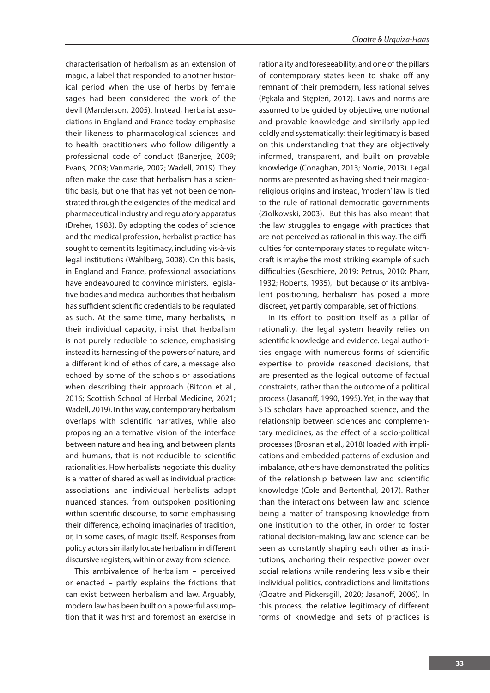characterisation of herbalism as an extension of magic, a label that responded to another historical period when the use of herbs by female sages had been considered the work of the devil (Manderson, 2005). Instead, herbalist associations in England and France today emphasise their likeness to pharmacological sciences and to health practitioners who follow diligently a professional code of conduct (Banerjee, 2009; Evans, 2008; Vanmarie, 2002; Wadell, 2019). They often make the case that herbalism has a scientific basis, but one that has yet not been demonstrated through the exigencies of the medical and pharmaceutical industry and regulatory apparatus (Dreher, 1983). By adopting the codes of science and the medical profession, herbalist practice has sought to cement its legitimacy, including vis-à-vis legal institutions (Wahlberg, 2008). On this basis, in England and France, professional associations have endeavoured to convince ministers, legislative bodies and medical authorities that herbalism has sufficient scientific credentials to be regulated as such. At the same time, many herbalists, in their individual capacity, insist that herbalism is not purely reducible to science, emphasising instead its harnessing of the powers of nature, and a different kind of ethos of care, a message also echoed by some of the schools or associations when describing their approach (Bitcon et al., 2016; Scottish School of Herbal Medicine, 2021; Wadell, 2019). In this way, contemporary herbalism overlaps with scientific narratives, while also proposing an alternative vision of the interface between nature and healing, and between plants and humans, that is not reducible to scientific rationalities. How herbalists negotiate this duality is a matter of shared as well as individual practice: associations and individual herbalists adopt nuanced stances, from outspoken positioning within scientific discourse, to some emphasising their difference, echoing imaginaries of tradition, or, in some cases, of magic itself. Responses from policy actors similarly locate herbalism in different discursive registers, within or away from science.

This ambivalence of herbalism – perceived or enacted – partly explains the frictions that can exist between herbalism and law. Arguably, modern law has been built on a powerful assumption that it was first and foremost an exercise in rationality and foreseeability, and one of the pillars of contemporary states keen to shake off any remnant of their premodern, less rational selves (Pękala and Stępień, 2012). Laws and norms are assumed to be guided by objective, unemotional and provable knowledge and similarly applied coldly and systematically: their legitimacy is based on this understanding that they are objectively informed, transparent, and built on provable knowledge (Conaghan, 2013; Norrie, 2013). Legal norms are presented as having shed their magicoreligious origins and instead, 'modern' law is tied to the rule of rational democratic governments (Ziolkowski, 2003). But this has also meant that the law struggles to engage with practices that are not perceived as rational in this way. The difficulties for contemporary states to regulate witchcraft is maybe the most striking example of such difficulties (Geschiere, 2019; Petrus, 2010; Pharr, 1932; Roberts, 1935), but because of its ambivalent positioning, herbalism has posed a more discreet, yet partly comparable, set of frictions.

In its effort to position itself as a pillar of rationality, the legal system heavily relies on scientific knowledge and evidence. Legal authorities engage with numerous forms of scientific expertise to provide reasoned decisions, that are presented as the logical outcome of factual constraints, rather than the outcome of a political process (Jasanoff, 1990, 1995). Yet, in the way that STS scholars have approached science, and the relationship between sciences and complementary medicines, as the effect of a socio-political processes (Brosnan et al., 2018) loaded with implications and embedded patterns of exclusion and imbalance, others have demonstrated the politics of the relationship between law and scientific knowledge (Cole and Bertenthal, 2017). Rather than the interactions between law and science being a matter of transposing knowledge from one institution to the other, in order to foster rational decision-making, law and science can be seen as constantly shaping each other as institutions, anchoring their respective power over social relations while rendering less visible their individual politics, contradictions and limitations (Cloatre and Pickersgill, 2020; Jasanoff, 2006). In this process, the relative legitimacy of different forms of knowledge and sets of practices is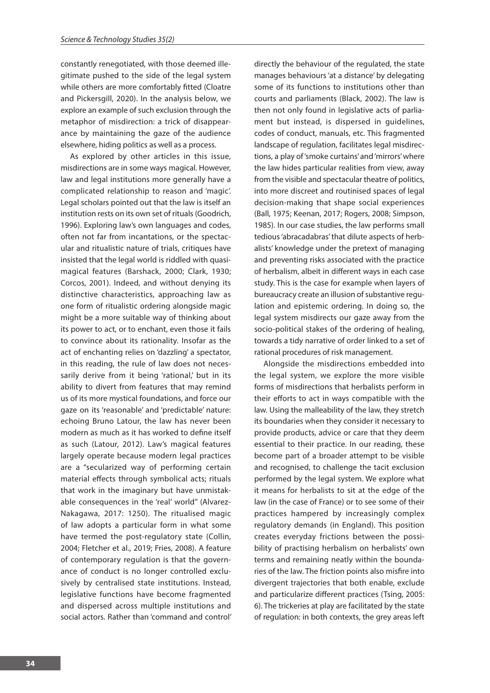constantly renegotiated, with those deemed illegitimate pushed to the side of the legal system while others are more comfortably fitted (Cloatre and Pickersgill, 2020). In the analysis below, we explore an example of such exclusion through the metaphor of misdirection: a trick of disappearance by maintaining the gaze of the audience elsewhere, hiding politics as well as a process.

As explored by other articles in this issue, misdirections are in some ways magical. However, law and legal institutions more generally have a complicated relationship to reason and 'magic'. Legal scholars pointed out that the law is itself an institution rests on its own set of rituals (Goodrich, 1996). Exploring law's own languages and codes, often not far from incantations, or the spectacular and ritualistic nature of trials, critiques have insisted that the legal world is riddled with quasimagical features (Barshack, 2000; Clark, 1930; Corcos, 2001). Indeed, and without denying its distinctive characteristics, approaching law as one form of ritualistic ordering alongside magic might be a more suitable way of thinking about its power to act, or to enchant, even those it fails to convince about its rationality. Insofar as the act of enchanting relies on 'dazzling' a spectator, in this reading, the rule of law does not necessarily derive from it being 'rational,' but in its ability to divert from features that may remind us of its more mystical foundations, and force our gaze on its 'reasonable' and 'predictable' nature: echoing Bruno Latour, the law has never been modern as much as it has worked to define itself as such (Latour, 2012). Law's magical features largely operate because modern legal practices are a "secularized way of performing certain material effects through symbolical acts; rituals that work in the imaginary but have unmistakable consequences in the 'real' world" (Alvarez-Nakagawa, 2017: 1250). The ritualised magic of law adopts a particular form in what some have termed the post-regulatory state (Collin, 2004; Fletcher et al., 2019; Fries, 2008). A feature of contemporary regulation is that the governance of conduct is no longer controlled exclusively by centralised state institutions. Instead, legislative functions have become fragmented and dispersed across multiple institutions and social actors. Rather than 'command and control'

directly the behaviour of the regulated, the state manages behaviours 'at a distance' by delegating some of its functions to institutions other than courts and parliaments (Black, 2002). The law is then not only found in legislative acts of parliament but instead, is dispersed in guidelines, codes of conduct, manuals, etc. This fragmented landscape of regulation, facilitates legal misdirections, a play of 'smoke curtains' and 'mirrors' where the law hides particular realities from view, away from the visible and spectacular theatre of politics, into more discreet and routinised spaces of legal decision-making that shape social experiences (Ball, 1975; Keenan, 2017; Rogers, 2008; Simpson, 1985). In our case studies, the law performs small tedious 'abracadabras' that dilute aspects of herbalists' knowledge under the pretext of managing and preventing risks associated with the practice of herbalism, albeit in different ways in each case study. This is the case for example when layers of bureaucracy create an illusion of substantive regulation and epistemic ordering. In doing so, the legal system misdirects our gaze away from the socio-political stakes of the ordering of healing, towards a tidy narrative of order linked to a set of rational procedures of risk management.

Alongside the misdirections embedded into the legal system, we explore the more visible forms of misdirections that herbalists perform in their efforts to act in ways compatible with the law. Using the malleability of the law, they stretch its boundaries when they consider it necessary to provide products, advice or care that they deem essential to their practice. In our reading, these become part of a broader attempt to be visible and recognised, to challenge the tacit exclusion performed by the legal system. We explore what it means for herbalists to sit at the edge of the law (in the case of France) or to see some of their practices hampered by increasingly complex regulatory demands (in England). This position creates everyday frictions between the possibility of practising herbalism on herbalists' own terms and remaining neatly within the boundaries of the law. The friction points also misfire into divergent trajectories that both enable, exclude and particularize different practices (Tsing, 2005: 6). The trickeries at play are facilitated by the state of regulation: in both contexts, the grey areas left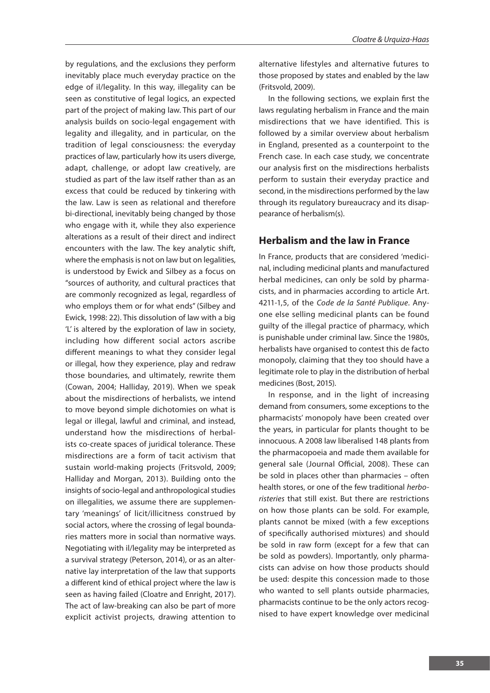by regulations, and the exclusions they perform inevitably place much everyday practice on the edge of il/legality. In this way, illegality can be seen as constitutive of legal logics, an expected part of the project of making law. This part of our analysis builds on socio-legal engagement with legality and illegality, and in particular, on the tradition of legal consciousness: the everyday practices of law, particularly how its users diverge, adapt, challenge, or adopt law creatively, are studied as part of the law itself rather than as an excess that could be reduced by tinkering with the law. Law is seen as relational and therefore bi-directional, inevitably being changed by those who engage with it, while they also experience alterations as a result of their direct and indirect encounters with the law. The key analytic shift, where the emphasis is not on law but on legalities, is understood by Ewick and Silbey as a focus on "sources of authority, and cultural practices that are commonly recognized as legal, regardless of who employs them or for what ends" (Silbey and Ewick, 1998: 22). This dissolution of law with a big 'L' is altered by the exploration of law in society, including how different social actors ascribe different meanings to what they consider legal or illegal, how they experience, play and redraw those boundaries, and ultimately, rewrite them (Cowan, 2004; Halliday, 2019). When we speak about the misdirections of herbalists, we intend to move beyond simple dichotomies on what is legal or illegal, lawful and criminal, and instead, understand how the misdirections of herbalists co-create spaces of juridical tolerance. These misdirections are a form of tacit activism that sustain world-making projects (Fritsvold, 2009; Halliday and Morgan, 2013). Building onto the insights of socio-legal and anthropological studies on illegalities, we assume there are supplementary 'meanings' of licit/illicitness construed by social actors, where the crossing of legal boundaries matters more in social than normative ways. Negotiating with il/legality may be interpreted as a survival strategy (Peterson, 2014), or as an alternative lay interpretation of the law that supports a different kind of ethical project where the law is seen as having failed (Cloatre and Enright, 2017). The act of law-breaking can also be part of more explicit activist projects, drawing attention to alternative lifestyles and alternative futures to those proposed by states and enabled by the law (Fritsvold, 2009).

In the following sections, we explain first the laws regulating herbalism in France and the main misdirections that we have identified. This is followed by a similar overview about herbalism in England, presented as a counterpoint to the French case. In each case study, we concentrate our analysis first on the misdirections herbalists perform to sustain their everyday practice and second, in the misdirections performed by the law through its regulatory bureaucracy and its disappearance of herbalism(s).

# **Herbalism and the law in France**

In France, products that are considered 'medicinal, including medicinal plants and manufactured herbal medicines, can only be sold by pharmacists, and in pharmacies according to article Art. 4211-1,5, of the *Code de la Santé Publique*. Anyone else selling medicinal plants can be found guilty of the illegal practice of pharmacy, which is punishable under criminal law. Since the 1980s, herbalists have organised to contest this de facto monopoly, claiming that they too should have a legitimate role to play in the distribution of herbal medicines (Bost, 2015).

In response, and in the light of increasing demand from consumers, some exceptions to the pharmacists' monopoly have been created over the years, in particular for plants thought to be innocuous. A 2008 law liberalised 148 plants from the pharmacopoeia and made them available for general sale (Journal Official, 2008). These can be sold in places other than pharmacies – often health stores, or one of the few traditional *herboristeries* that still exist. But there are restrictions on how those plants can be sold. For example, plants cannot be mixed (with a few exceptions of specifically authorised mixtures) and should be sold in raw form (except for a few that can be sold as powders). Importantly, only pharmacists can advise on how those products should be used: despite this concession made to those who wanted to sell plants outside pharmacies, pharmacists continue to be the only actors recognised to have expert knowledge over medicinal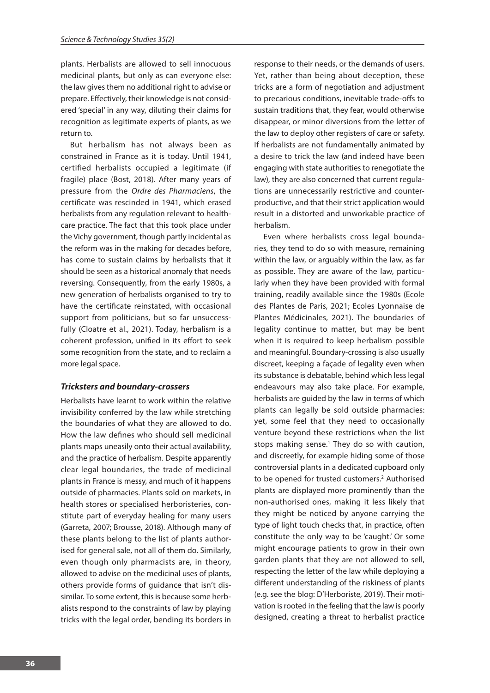plants. Herbalists are allowed to sell innocuous medicinal plants, but only as can everyone else: the law gives them no additional right to advise or prepare. Effectively, their knowledge is not considered 'special' in any way, diluting their claims for recognition as legitimate experts of plants, as we return to.

But herbalism has not always been as constrained in France as it is today. Until 1941, certified herbalists occupied a legitimate (if fragile) place (Bost, 2018). After many years of pressure from the *Ordre des Pharmaciens*, the certificate was rescinded in 1941, which erased herbalists from any regulation relevant to healthcare practice. The fact that this took place under the Vichy government, though partly incidental as the reform was in the making for decades before, has come to sustain claims by herbalists that it should be seen as a historical anomaly that needs reversing. Consequently, from the early 1980s, a new generation of herbalists organised to try to have the certificate reinstated, with occasional support from politicians, but so far unsuccessfully (Cloatre et al., 2021). Today, herbalism is a coherent profession, unified in its effort to seek some recognition from the state, and to reclaim a more legal space.

#### *Tricksters and boundary-crossers*

Herbalists have learnt to work within the relative invisibility conferred by the law while stretching the boundaries of what they are allowed to do. How the law defines who should sell medicinal plants maps uneasily onto their actual availability, and the practice of herbalism. Despite apparently clear legal boundaries, the trade of medicinal plants in France is messy, and much of it happens outside of pharmacies. Plants sold on markets, in health stores or specialised herboristeries, constitute part of everyday healing for many users (Garreta, 2007; Brousse, 2018). Although many of these plants belong to the list of plants authorised for general sale, not all of them do. Similarly, even though only pharmacists are, in theory, allowed to advise on the medicinal uses of plants, others provide forms of guidance that isn't dissimilar. To some extent, this is because some herbalists respond to the constraints of law by playing tricks with the legal order, bending its borders in

response to their needs, or the demands of users. Yet, rather than being about deception, these tricks are a form of negotiation and adjustment to precarious conditions, inevitable trade-offs to sustain traditions that, they fear, would otherwise disappear, or minor diversions from the letter of the law to deploy other registers of care or safety. If herbalists are not fundamentally animated by a desire to trick the law (and indeed have been engaging with state authorities to renegotiate the law), they are also concerned that current regulations are unnecessarily restrictive and counterproductive, and that their strict application would result in a distorted and unworkable practice of herbalism.

Even where herbalists cross legal boundaries, they tend to do so with measure, remaining within the law, or arguably within the law, as far as possible. They are aware of the law, particularly when they have been provided with formal training, readily available since the 1980s (Ecole des Plantes de Paris, 2021; Ecoles Lyonnaise de Plantes Médicinales, 2021). The boundaries of legality continue to matter, but may be bent when it is required to keep herbalism possible and meaningful. Boundary-crossing is also usually discreet, keeping a façade of legality even when its substance is debatable, behind which less legal endeavours may also take place. For example, herbalists are guided by the law in terms of which plants can legally be sold outside pharmacies: yet, some feel that they need to occasionally venture beyond these restrictions when the list stops making sense.<sup>1</sup> They do so with caution, and discreetly, for example hiding some of those controversial plants in a dedicated cupboard only to be opened for trusted customers.<sup>2</sup> Authorised plants are displayed more prominently than the non-authorised ones, making it less likely that they might be noticed by anyone carrying the type of light touch checks that, in practice, often constitute the only way to be 'caught.' Or some might encourage patients to grow in their own garden plants that they are not allowed to sell, respecting the letter of the law while deploying a different understanding of the riskiness of plants (e.g. see the blog: D'Herboriste, 2019). Their motivation is rooted in the feeling that the law is poorly designed, creating a threat to herbalist practice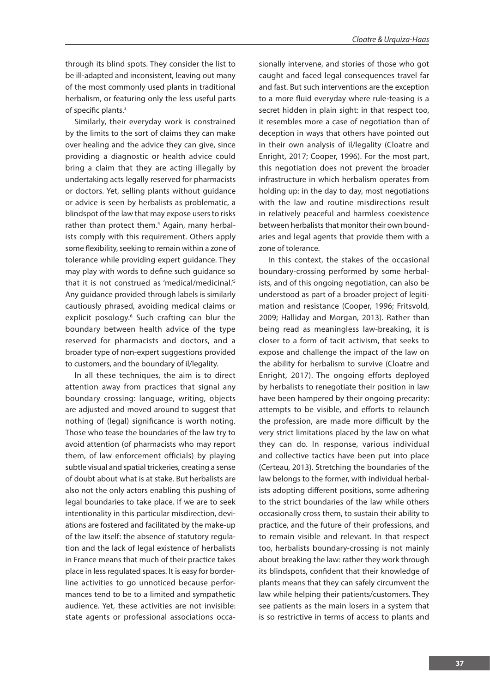through its blind spots. They consider the list to be ill-adapted and inconsistent, leaving out many of the most commonly used plants in traditional herbalism, or featuring only the less useful parts of specific plants.3

Similarly, their everyday work is constrained by the limits to the sort of claims they can make over healing and the advice they can give, since providing a diagnostic or health advice could bring a claim that they are acting illegally by undertaking acts legally reserved for pharmacists or doctors. Yet, selling plants without guidance or advice is seen by herbalists as problematic, a blindspot of the law that may expose users to risks rather than protect them.<sup>4</sup> Again, many herbalists comply with this requirement. Others apply some flexibility, seeking to remain within a zone of tolerance while providing expert guidance. They may play with words to define such guidance so that it is not construed as 'medical/medicinal.'<sup>5</sup> Any guidance provided through labels is similarly cautiously phrased, avoiding medical claims or explicit posology.<sup>6</sup> Such crafting can blur the boundary between health advice of the type reserved for pharmacists and doctors, and a broader type of non-expert suggestions provided to customers, and the boundary of il/legality.

In all these techniques, the aim is to direct attention away from practices that signal any boundary crossing: language, writing, objects are adjusted and moved around to suggest that nothing of (legal) significance is worth noting. Those who tease the boundaries of the law try to avoid attention (of pharmacists who may report them, of law enforcement officials) by playing subtle visual and spatial trickeries, creating a sense of doubt about what is at stake. But herbalists are also not the only actors enabling this pushing of legal boundaries to take place. If we are to seek intentionality in this particular misdirection, deviations are fostered and facilitated by the make-up of the law itself: the absence of statutory regulation and the lack of legal existence of herbalists in France means that much of their practice takes place in less regulated spaces. It is easy for borderline activities to go unnoticed because performances tend to be to a limited and sympathetic audience. Yet, these activities are not invisible: state agents or professional associations occasionally intervene, and stories of those who got caught and faced legal consequences travel far and fast. But such interventions are the exception to a more fluid everyday where rule-teasing is a secret hidden in plain sight: in that respect too, it resembles more a case of negotiation than of deception in ways that others have pointed out in their own analysis of il/legality (Cloatre and Enright, 2017; Cooper, 1996). For the most part, this negotiation does not prevent the broader infrastructure in which herbalism operates from holding up: in the day to day, most negotiations with the law and routine misdirections result in relatively peaceful and harmless coexistence between herbalists that monitor their own boundaries and legal agents that provide them with a zone of tolerance.

In this context, the stakes of the occasional boundary-crossing performed by some herbalists, and of this ongoing negotiation, can also be understood as part of a broader project of legitimation and resistance (Cooper, 1996; Fritsvold, 2009; Halliday and Morgan, 2013). Rather than being read as meaningless law-breaking, it is closer to a form of tacit activism, that seeks to expose and challenge the impact of the law on the ability for herbalism to survive (Cloatre and Enright, 2017). The ongoing efforts deployed by herbalists to renegotiate their position in law have been hampered by their ongoing precarity: attempts to be visible, and efforts to relaunch the profession, are made more difficult by the very strict limitations placed by the law on what they can do. In response, various individual and collective tactics have been put into place (Certeau, 2013). Stretching the boundaries of the law belongs to the former, with individual herbalists adopting different positions, some adhering to the strict boundaries of the law while others occasionally cross them, to sustain their ability to practice, and the future of their professions, and to remain visible and relevant. In that respect too, herbalists boundary-crossing is not mainly about breaking the law: rather they work through its blindspots, confident that their knowledge of plants means that they can safely circumvent the law while helping their patients/customers. They see patients as the main losers in a system that is so restrictive in terms of access to plants and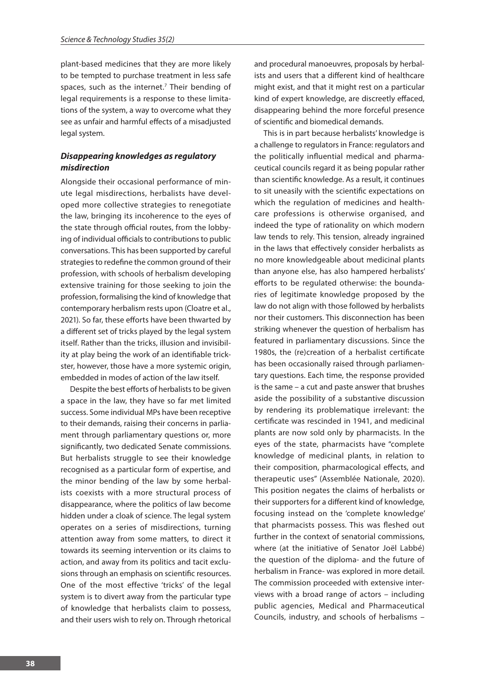plant-based medicines that they are more likely to be tempted to purchase treatment in less safe spaces, such as the internet.<sup>7</sup> Their bending of legal requirements is a response to these limitations of the system, a way to overcome what they see as unfair and harmful effects of a misadjusted legal system.

#### *Disappearing knowledges as regulatory misdirection*

Alongside their occasional performance of minute legal misdirections, herbalists have developed more collective strategies to renegotiate the law, bringing its incoherence to the eyes of the state through official routes, from the lobbying of individual officials to contributions to public conversations. This has been supported by careful strategies to redefine the common ground of their profession, with schools of herbalism developing extensive training for those seeking to join the profession, formalising the kind of knowledge that contemporary herbalism rests upon (Cloatre et al., 2021). So far, these efforts have been thwarted by a different set of tricks played by the legal system itself. Rather than the tricks, illusion and invisibility at play being the work of an identifiable trickster, however, those have a more systemic origin, embedded in modes of action of the law itself.

Despite the best efforts of herbalists to be given a space in the law, they have so far met limited success. Some individual MPs have been receptive to their demands, raising their concerns in parliament through parliamentary questions or, more significantly, two dedicated Senate commissions. But herbalists struggle to see their knowledge recognised as a particular form of expertise, and the minor bending of the law by some herbalists coexists with a more structural process of disappearance, where the politics of law become hidden under a cloak of science. The legal system operates on a series of misdirections, turning attention away from some matters, to direct it towards its seeming intervention or its claims to action, and away from its politics and tacit exclusions through an emphasis on scientific resources. One of the most effective 'tricks' of the legal system is to divert away from the particular type of knowledge that herbalists claim to possess, and their users wish to rely on. Through rhetorical and procedural manoeuvres, proposals by herbalists and users that a different kind of healthcare might exist, and that it might rest on a particular kind of expert knowledge, are discreetly effaced, disappearing behind the more forceful presence of scientific and biomedical demands.

This is in part because herbalists' knowledge is a challenge to regulators in France: regulators and the politically influential medical and pharmaceutical councils regard it as being popular rather than scientific knowledge. As a result, it continues to sit uneasily with the scientific expectations on which the regulation of medicines and healthcare professions is otherwise organised, and indeed the type of rationality on which modern law tends to rely. This tension, already ingrained in the laws that effectively consider herbalists as no more knowledgeable about medicinal plants than anyone else, has also hampered herbalists' efforts to be regulated otherwise: the boundaries of legitimate knowledge proposed by the law do not align with those followed by herbalists nor their customers. This disconnection has been striking whenever the question of herbalism has featured in parliamentary discussions. Since the 1980s, the (re)creation of a herbalist certificate has been occasionally raised through parliamentary questions. Each time, the response provided is the same – a cut and paste answer that brushes aside the possibility of a substantive discussion by rendering its problematique irrelevant: the certificate was rescinded in 1941, and medicinal plants are now sold only by pharmacists. In the eyes of the state, pharmacists have "complete knowledge of medicinal plants, in relation to their composition, pharmacological effects, and therapeutic uses" (Assemblée Nationale, 2020). This position negates the claims of herbalists or their supporters for a different kind of knowledge, focusing instead on the 'complete knowledge' that pharmacists possess. This was fleshed out further in the context of senatorial commissions, where (at the initiative of Senator Joël Labbé) the question of the diploma- and the future of herbalism in France- was explored in more detail. The commission proceeded with extensive interviews with a broad range of actors – including public agencies, Medical and Pharmaceutical Councils, industry, and schools of herbalisms –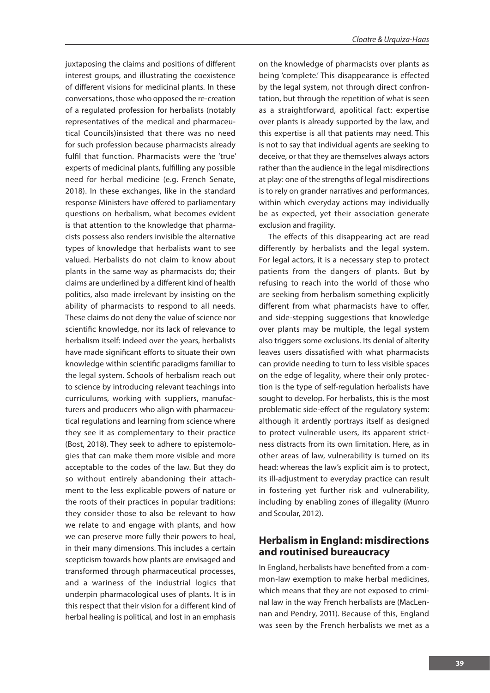juxtaposing the claims and positions of different interest groups, and illustrating the coexistence of different visions for medicinal plants. In these conversations, those who opposed the re-creation of a regulated profession for herbalists (notably representatives of the medical and pharmaceutical Councils)insisted that there was no need for such profession because pharmacists already fulfil that function. Pharmacists were the 'true' experts of medicinal plants, fulfilling any possible need for herbal medicine (e.g. French Senate, 2018). In these exchanges, like in the standard response Ministers have offered to parliamentary questions on herbalism, what becomes evident is that attention to the knowledge that pharmacists possess also renders invisible the alternative types of knowledge that herbalists want to see valued. Herbalists do not claim to know about plants in the same way as pharmacists do; their claims are underlined by a different kind of health politics, also made irrelevant by insisting on the ability of pharmacists to respond to all needs. These claims do not deny the value of science nor scientific knowledge, nor its lack of relevance to herbalism itself: indeed over the years, herbalists have made significant efforts to situate their own knowledge within scientific paradigms familiar to the legal system. Schools of herbalism reach out to science by introducing relevant teachings into curriculums, working with suppliers, manufacturers and producers who align with pharmaceutical regulations and learning from science where they see it as complementary to their practice (Bost, 2018). They seek to adhere to epistemologies that can make them more visible and more acceptable to the codes of the law. But they do so without entirely abandoning their attachment to the less explicable powers of nature or the roots of their practices in popular traditions: they consider those to also be relevant to how we relate to and engage with plants, and how we can preserve more fully their powers to heal, in their many dimensions. This includes a certain scepticism towards how plants are envisaged and transformed through pharmaceutical processes, and a wariness of the industrial logics that underpin pharmacological uses of plants. It is in this respect that their vision for a different kind of herbal healing is political, and lost in an emphasis

on the knowledge of pharmacists over plants as being 'complete.' This disappearance is effected by the legal system, not through direct confrontation, but through the repetition of what is seen as a straightforward, apolitical fact: expertise over plants is already supported by the law, and this expertise is all that patients may need. This is not to say that individual agents are seeking to deceive, or that they are themselves always actors rather than the audience in the legal misdirections at play: one of the strengths of legal misdirections is to rely on grander narratives and performances, within which everyday actions may individually be as expected, yet their association generate exclusion and fragility.

The effects of this disappearing act are read differently by herbalists and the legal system. For legal actors, it is a necessary step to protect patients from the dangers of plants. But by refusing to reach into the world of those who are seeking from herbalism something explicitly different from what pharmacists have to offer, and side-stepping suggestions that knowledge over plants may be multiple, the legal system also triggers some exclusions. Its denial of alterity leaves users dissatisfied with what pharmacists can provide needing to turn to less visible spaces on the edge of legality, where their only protection is the type of self-regulation herbalists have sought to develop. For herbalists, this is the most problematic side-effect of the regulatory system: although it ardently portrays itself as designed to protect vulnerable users, its apparent strictness distracts from its own limitation. Here, as in other areas of law, vulnerability is turned on its head: whereas the law's explicit aim is to protect, its ill-adjustment to everyday practice can result in fostering yet further risk and vulnerability, including by enabling zones of illegality (Munro and Scoular, 2012).

## **Herbalism in England: misdirections and routinised bureaucracy**

In England, herbalists have benefited from a common-law exemption to make herbal medicines, which means that they are not exposed to criminal law in the way French herbalists are (MacLennan and Pendry, 2011). Because of this, England was seen by the French herbalists we met as a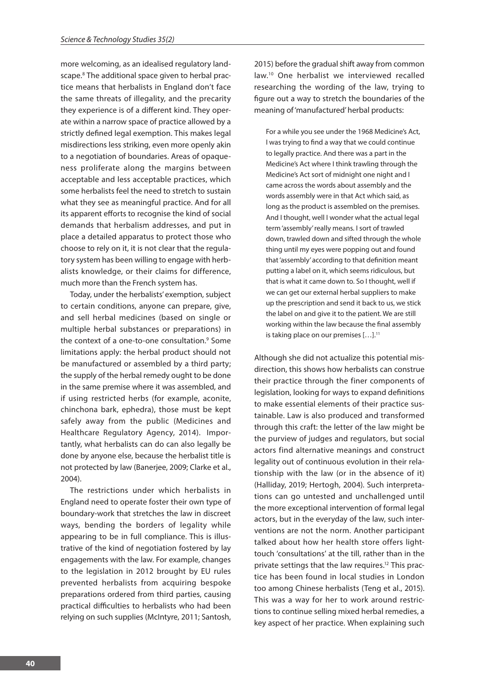more welcoming, as an idealised regulatory landscape.<sup>8</sup> The additional space given to herbal practice means that herbalists in England don't face the same threats of illegality, and the precarity they experience is of a different kind. They operate within a narrow space of practice allowed by a strictly defined legal exemption. This makes legal misdirections less striking, even more openly akin to a negotiation of boundaries. Areas of opaqueness proliferate along the margins between acceptable and less acceptable practices, which some herbalists feel the need to stretch to sustain what they see as meaningful practice. And for all its apparent efforts to recognise the kind of social demands that herbalism addresses, and put in place a detailed apparatus to protect those who choose to rely on it, it is not clear that the regulatory system has been willing to engage with herbalists knowledge, or their claims for difference, much more than the French system has.

Today, under the herbalists' exemption, subject to certain conditions, anyone can prepare, give, and sell herbal medicines (based on single or multiple herbal substances or preparations) in the context of a one-to-one consultation.<sup>9</sup> Some limitations apply: the herbal product should not be manufactured or assembled by a third party; the supply of the herbal remedy ought to be done in the same premise where it was assembled, and if using restricted herbs (for example, aconite, chinchona bark, ephedra), those must be kept safely away from the public (Medicines and Healthcare Regulatory Agency, 2014). Importantly, what herbalists can do can also legally be done by anyone else, because the herbalist title is not protected by law (Banerjee, 2009; Clarke et al., 2004).

The restrictions under which herbalists in England need to operate foster their own type of boundary-work that stretches the law in discreet ways, bending the borders of legality while appearing to be in full compliance. This is illustrative of the kind of negotiation fostered by lay engagements with the law. For example, changes to the legislation in 2012 brought by EU rules prevented herbalists from acquiring bespoke preparations ordered from third parties, causing practical difficulties to herbalists who had been relying on such supplies (McIntyre, 2011; Santosh,

2015) before the gradual shift away from common law.10 One herbalist we interviewed recalled researching the wording of the law, trying to figure out a way to stretch the boundaries of the meaning of 'manufactured' herbal products:

For a while you see under the 1968 Medicine's Act, I was trying to find a way that we could continue to legally practice. And there was a part in the Medicine's Act where I think trawling through the Medicine's Act sort of midnight one night and I came across the words about assembly and the words assembly were in that Act which said, as long as the product is assembled on the premises. And I thought, well I wonder what the actual legal term 'assembly' really means. I sort of trawled down, trawled down and sifted through the whole thing until my eyes were popping out and found that 'assembly' according to that definition meant putting a label on it, which seems ridiculous, but that is what it came down to. So I thought, well if we can get our external herbal suppliers to make up the prescription and send it back to us, we stick the label on and give it to the patient. We are still working within the law because the final assembly is taking place on our premises [...].<sup>11</sup>

Although she did not actualize this potential misdirection, this shows how herbalists can construe their practice through the finer components of legislation, looking for ways to expand definitions to make essential elements of their practice sustainable. Law is also produced and transformed through this craft: the letter of the law might be the purview of judges and regulators, but social actors find alternative meanings and construct legality out of continuous evolution in their relationship with the law (or in the absence of it) (Halliday, 2019; Hertogh, 2004). Such interpretations can go untested and unchallenged until the more exceptional intervention of formal legal actors, but in the everyday of the law, such interventions are not the norm. Another participant talked about how her health store offers lighttouch 'consultations' at the till, rather than in the private settings that the law requires.<sup>12</sup> This practice has been found in local studies in London too among Chinese herbalists (Teng et al., 2015). This was a way for her to work around restrictions to continue selling mixed herbal remedies, a key aspect of her practice. When explaining such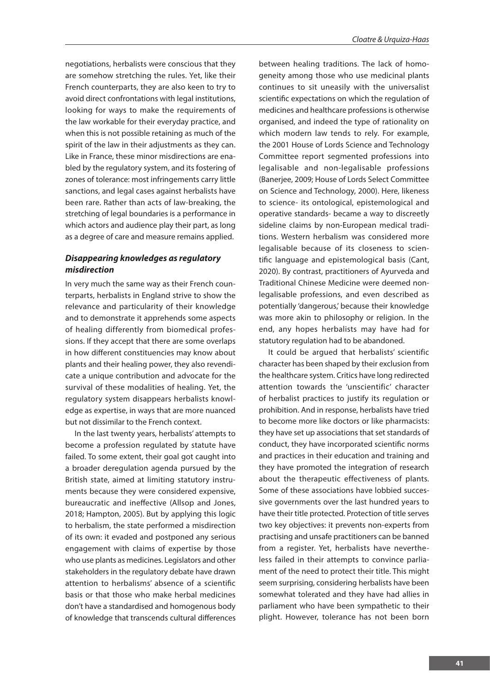negotiations, herbalists were conscious that they are somehow stretching the rules. Yet, like their French counterparts, they are also keen to try to avoid direct confrontations with legal institutions, looking for ways to make the requirements of the law workable for their everyday practice, and when this is not possible retaining as much of the spirit of the law in their adjustments as they can. Like in France, these minor misdirections are enabled by the regulatory system, and its fostering of zones of tolerance: most infringements carry little sanctions, and legal cases against herbalists have been rare. Rather than acts of law-breaking, the stretching of legal boundaries is a performance in which actors and audience play their part, as long as a degree of care and measure remains applied.

## *Disappearing knowledges as regulatory misdirection*

In very much the same way as their French counterparts, herbalists in England strive to show the relevance and particularity of their knowledge and to demonstrate it apprehends some aspects of healing differently from biomedical professions. If they accept that there are some overlaps in how different constituencies may know about plants and their healing power, they also revendicate a unique contribution and advocate for the survival of these modalities of healing. Yet, the regulatory system disappears herbalists knowledge as expertise, in ways that are more nuanced but not dissimilar to the French context.

In the last twenty years, herbalists' attempts to become a profession regulated by statute have failed. To some extent, their goal got caught into a broader deregulation agenda pursued by the British state, aimed at limiting statutory instruments because they were considered expensive, bureaucratic and ineffective (Allsop and Jones, 2018; Hampton, 2005). But by applying this logic to herbalism, the state performed a misdirection of its own: it evaded and postponed any serious engagement with claims of expertise by those who use plants as medicines. Legislators and other stakeholders in the regulatory debate have drawn attention to herbalisms' absence of a scientific basis or that those who make herbal medicines don't have a standardised and homogenous body of knowledge that transcends cultural differences

between healing traditions. The lack of homogeneity among those who use medicinal plants continues to sit uneasily with the universalist scientific expectations on which the regulation of medicines and healthcare professions is otherwise organised, and indeed the type of rationality on which modern law tends to rely. For example, the 2001 House of Lords Science and Technology Committee report segmented professions into legalisable and non-legalisable professions (Banerjee, 2009; House of Lords Select Committee on Science and Technology, 2000). Here, likeness to science- its ontological, epistemological and operative standards- became a way to discreetly sideline claims by non-European medical traditions. Western herbalism was considered more legalisable because of its closeness to scientific language and epistemological basis (Cant, 2020). By contrast, practitioners of Ayurveda and Traditional Chinese Medicine were deemed nonlegalisable professions, and even described as potentially 'dangerous,' because their knowledge was more akin to philosophy or religion. In the end, any hopes herbalists may have had for statutory regulation had to be abandoned.

It could be argued that herbalists' scientific character has been shaped by their exclusion from the healthcare system. Critics have long redirected attention towards the 'unscientific' character of herbalist practices to justify its regulation or prohibition. And in response, herbalists have tried to become more like doctors or like pharmacists: they have set up associations that set standards of conduct, they have incorporated scientific norms and practices in their education and training and they have promoted the integration of research about the therapeutic effectiveness of plants. Some of these associations have lobbied successive governments over the last hundred years to have their title protected. Protection of title serves two key objectives: it prevents non-experts from practising and unsafe practitioners can be banned from a register. Yet, herbalists have nevertheless failed in their attempts to convince parliament of the need to protect their title. This might seem surprising, considering herbalists have been somewhat tolerated and they have had allies in parliament who have been sympathetic to their plight. However, tolerance has not been born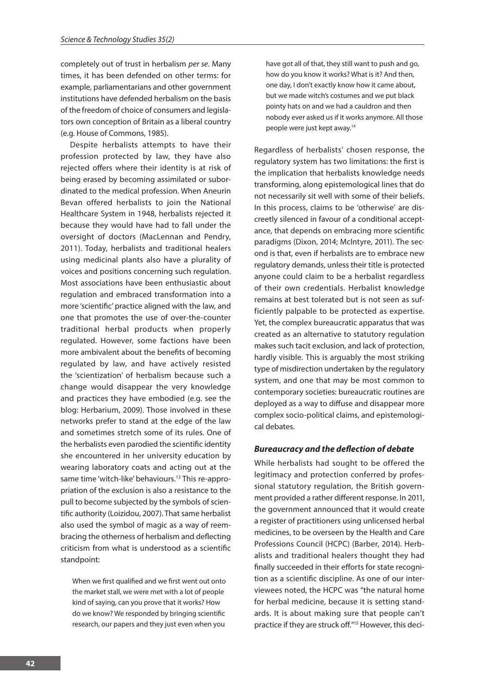completely out of trust in herbalism *per se*. Many times, it has been defended on other terms: for example, parliamentarians and other government institutions have defended herbalism on the basis of the freedom of choice of consumers and legislators own conception of Britain as a liberal country (e.g. House of Commons, 1985).

Despite herbalists attempts to have their profession protected by law, they have also rejected offers where their identity is at risk of being erased by becoming assimilated or subordinated to the medical profession. When Aneurin Bevan offered herbalists to join the National Healthcare System in 1948, herbalists rejected it because they would have had to fall under the oversight of doctors (MacLennan and Pendry, 2011). Today, herbalists and traditional healers using medicinal plants also have a plurality of voices and positions concerning such regulation. Most associations have been enthusiastic about regulation and embraced transformation into a more 'scientific' practice aligned with the law, and one that promotes the use of over-the-counter traditional herbal products when properly regulated. However, some factions have been more ambivalent about the benefits of becoming regulated by law, and have actively resisted the 'scientization' of herbalism because such a change would disappear the very knowledge and practices they have embodied (e.g. see the blog: Herbarium, 2009). Those involved in these networks prefer to stand at the edge of the law and sometimes stretch some of its rules. One of the herbalists even parodied the scientific identity she encountered in her university education by wearing laboratory coats and acting out at the same time 'witch-like' behaviours.<sup>13</sup> This re-appropriation of the exclusion is also a resistance to the pull to become subjected by the symbols of scientific authority (Loizidou, 2007). That same herbalist also used the symbol of magic as a way of reembracing the otherness of herbalism and deflecting criticism from what is understood as a scientific standpoint:

When we first qualified and we first went out onto the market stall, we were met with a lot of people kind of saying, can you prove that it works? How do we know? We responded by bringing scientific research, our papers and they just even when you

have got all of that, they still want to push and go, how do you know it works? What is it? And then, one day, I don't exactly know how it came about, but we made witch's costumes and we put black pointy hats on and we had a cauldron and then nobody ever asked us if it works anymore. All those people were just kept away.14

Regardless of herbalists' chosen response, the regulatory system has two limitations: the first is the implication that herbalists knowledge needs transforming, along epistemological lines that do not necessarily sit well with some of their beliefs. In this process, claims to be 'otherwise' are discreetly silenced in favour of a conditional acceptance, that depends on embracing more scientific paradigms (Dixon, 2014; McIntyre, 2011). The second is that, even if herbalists are to embrace new regulatory demands, unless their title is protected anyone could claim to be a herbalist regardless of their own credentials. Herbalist knowledge remains at best tolerated but is not seen as sufficiently palpable to be protected as expertise. Yet, the complex bureaucratic apparatus that was created as an alternative to statutory regulation makes such tacit exclusion, and lack of protection, hardly visible. This is arguably the most striking type of misdirection undertaken by the regulatory system, and one that may be most common to contemporary societies: bureaucratic routines are deployed as a way to diffuse and disappear more complex socio-political claims, and epistemological debates.

#### *Bureaucracy and the deflection of debate*

While herbalists had sought to be offered the legitimacy and protection conferred by professional statutory regulation, the British government provided a rather different response. In 2011, the government announced that it would create a register of practitioners using unlicensed herbal medicines, to be overseen by the Health and Care Professions Council (HCPC) (Barber, 2014). Herbalists and traditional healers thought they had finally succeeded in their efforts for state recognition as a scientific discipline. As one of our interviewees noted, the HCPC was "the natural home for herbal medicine, because it is setting standards. It is about making sure that people can't practice if they are struck off."15 However, this deci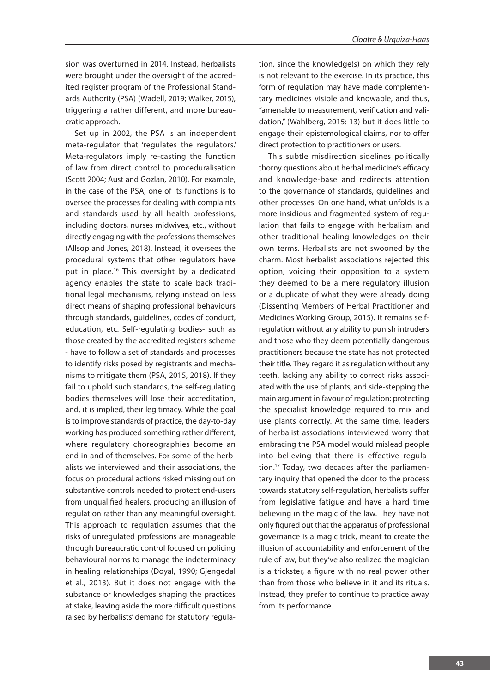sion was overturned in 2014. Instead, herbalists were brought under the oversight of the accredited register program of the Professional Standards Authority (PSA) (Wadell, 2019; Walker, 2015), triggering a rather different, and more bureaucratic approach.

Set up in 2002, the PSA is an independent meta-regulator that 'regulates the regulators.' Meta-regulators imply re-casting the function of law from direct control to proceduralisation (Scott 2004; Aust and Gozlan, 2010). For example, in the case of the PSA, one of its functions is to oversee the processes for dealing with complaints and standards used by all health professions, including doctors, nurses midwives, etc., without directly engaging with the professions themselves (Allsop and Jones, 2018). Instead, it oversees the procedural systems that other regulators have put in place.<sup>16</sup> This oversight by a dedicated agency enables the state to scale back traditional legal mechanisms, relying instead on less direct means of shaping professional behaviours through standards, guidelines, codes of conduct, education, etc. Self-regulating bodies- such as those created by the accredited registers scheme - have to follow a set of standards and processes to identify risks posed by registrants and mechanisms to mitigate them (PSA, 2015, 2018). If they fail to uphold such standards, the self-regulating bodies themselves will lose their accreditation, and, it is implied, their legitimacy. While the goal is to improve standards of practice, the day-to-day working has produced something rather different, where regulatory choreographies become an end in and of themselves. For some of the herbalists we interviewed and their associations, the focus on procedural actions risked missing out on substantive controls needed to protect end-users from unqualified healers, producing an illusion of regulation rather than any meaningful oversight. This approach to regulation assumes that the risks of unregulated professions are manageable through bureaucratic control focused on policing behavioural norms to manage the indeterminacy in healing relationships (Doyal, 1990; Gjengedal et al., 2013). But it does not engage with the substance or knowledges shaping the practices at stake, leaving aside the more difficult questions raised by herbalists' demand for statutory regula-

tion, since the knowledge(s) on which they rely is not relevant to the exercise. In its practice, this form of regulation may have made complementary medicines visible and knowable, and thus, "amenable to measurement, verification and validation," (Wahlberg, 2015: 13) but it does little to engage their epistemological claims, nor to offer direct protection to practitioners or users.

This subtle misdirection sidelines politically thorny questions about herbal medicine's efficacy and knowledge-base and redirects attention to the governance of standards, guidelines and other processes. On one hand, what unfolds is a more insidious and fragmented system of regulation that fails to engage with herbalism and other traditional healing knowledges on their own terms. Herbalists are not swooned by the charm. Most herbalist associations rejected this option, voicing their opposition to a system they deemed to be a mere regulatory illusion or a duplicate of what they were already doing (Dissenting Members of Herbal Practitioner and Medicines Working Group, 2015). It remains selfregulation without any ability to punish intruders and those who they deem potentially dangerous practitioners because the state has not protected their title. They regard it as regulation without any teeth, lacking any ability to correct risks associated with the use of plants, and side-stepping the main argument in favour of regulation: protecting the specialist knowledge required to mix and use plants correctly. At the same time, leaders of herbalist associations interviewed worry that embracing the PSA model would mislead people into believing that there is effective regulation.17 Today, two decades after the parliamentary inquiry that opened the door to the process towards statutory self-regulation, herbalists suffer from legislative fatigue and have a hard time believing in the magic of the law. They have not only figured out that the apparatus of professional governance is a magic trick, meant to create the illusion of accountability and enforcement of the rule of law, but they've also realized the magician is a trickster, a figure with no real power other than from those who believe in it and its rituals. Instead, they prefer to continue to practice away from its performance.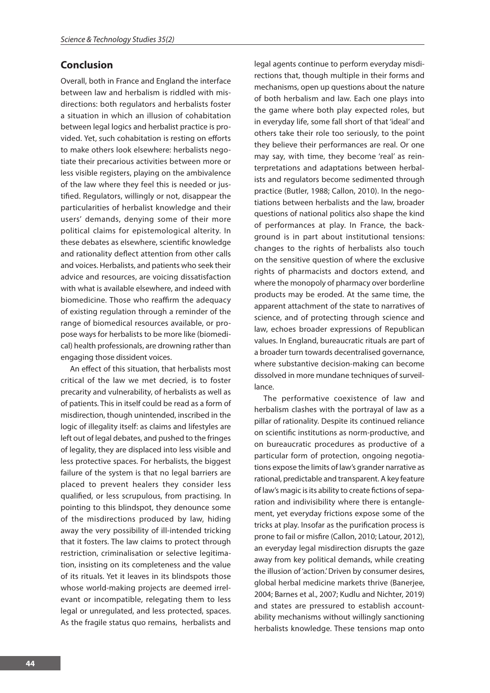## **Conclusion**

Overall, both in France and England the interface between law and herbalism is riddled with misdirections: both regulators and herbalists foster a situation in which an illusion of cohabitation between legal logics and herbalist practice is provided. Yet, such cohabitation is resting on efforts to make others look elsewhere: herbalists negotiate their precarious activities between more or less visible registers, playing on the ambivalence of the law where they feel this is needed or justified. Regulators, willingly or not, disappear the particularities of herbalist knowledge and their users' demands, denying some of their more political claims for epistemological alterity. In these debates as elsewhere, scientific knowledge and rationality deflect attention from other calls and voices. Herbalists, and patients who seek their advice and resources, are voicing dissatisfaction with what is available elsewhere, and indeed with biomedicine. Those who reaffirm the adequacy of existing regulation through a reminder of the range of biomedical resources available, or propose ways for herbalists to be more like (biomedical) health professionals, are drowning rather than engaging those dissident voices.

An effect of this situation, that herbalists most critical of the law we met decried, is to foster precarity and vulnerability, of herbalists as well as of patients. This in itself could be read as a form of misdirection, though unintended, inscribed in the logic of illegality itself: as claims and lifestyles are left out of legal debates, and pushed to the fringes of legality, they are displaced into less visible and less protective spaces. For herbalists, the biggest failure of the system is that no legal barriers are placed to prevent healers they consider less qualified, or less scrupulous, from practising. In pointing to this blindspot, they denounce some of the misdirections produced by law, hiding away the very possibility of ill-intended tricking that it fosters. The law claims to protect through restriction, criminalisation or selective legitimation, insisting on its completeness and the value of its rituals. Yet it leaves in its blindspots those whose world-making projects are deemed irrelevant or incompatible, relegating them to less legal or unregulated, and less protected, spaces. As the fragile status quo remains, herbalists and

legal agents continue to perform everyday misdirections that, though multiple in their forms and mechanisms, open up questions about the nature of both herbalism and law. Each one plays into the game where both play expected roles, but in everyday life, some fall short of that 'ideal' and others take their role too seriously, to the point they believe their performances are real. Or one may say, with time, they become 'real' as reinterpretations and adaptations between herbalists and regulators become sedimented through practice (Butler, 1988; Callon, 2010). In the negotiations between herbalists and the law, broader questions of national politics also shape the kind of performances at play. In France, the background is in part about institutional tensions: changes to the rights of herbalists also touch on the sensitive question of where the exclusive rights of pharmacists and doctors extend, and where the monopoly of pharmacy over borderline products may be eroded. At the same time, the apparent attachment of the state to narratives of science, and of protecting through science and law, echoes broader expressions of Republican values. In England, bureaucratic rituals are part of a broader turn towards decentralised governance, where substantive decision-making can become dissolved in more mundane techniques of surveillance.

The performative coexistence of law and herbalism clashes with the portrayal of law as a pillar of rationality. Despite its continued reliance on scientific institutions as norm-productive, and on bureaucratic procedures as productive of a particular form of protection, ongoing negotiations expose the limits of law's grander narrative as rational, predictable and transparent. A key feature of law's magic is its ability to create fictions of separation and indivisibility where there is entanglement, yet everyday frictions expose some of the tricks at play. Insofar as the purification process is prone to fail or misfire (Callon, 2010; Latour, 2012), an everyday legal misdirection disrupts the gaze away from key political demands, while creating the illusion of 'action.' Driven by consumer desires, global herbal medicine markets thrive (Banerjee, 2004; Barnes et al., 2007; Kudlu and Nichter, 2019) and states are pressured to establish accountability mechanisms without willingly sanctioning herbalists knowledge. These tensions map onto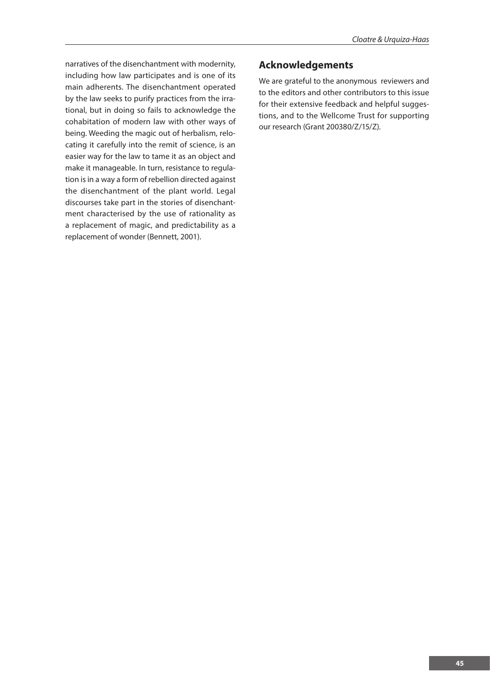narratives of the disenchantment with modernity, including how law participates and is one of its main adherents. The disenchantment operated by the law seeks to purify practices from the irrational, but in doing so fails to acknowledge the cohabitation of modern law with other ways of being. Weeding the magic out of herbalism, relocating it carefully into the remit of science, is an easier way for the law to tame it as an object and make it manageable. In turn, resistance to regulation is in a way a form of rebellion directed against the disenchantment of the plant world. Legal discourses take part in the stories of disenchantment characterised by the use of rationality as a replacement of magic, and predictability as a replacement of wonder (Bennett, 2001).

## **Acknowledgements**

We are grateful to the anonymous reviewers and to the editors and other contributors to this issue for their extensive feedback and helpful suggestions, and to the Wellcome Trust for supporting our research (Grant 200380/Z/15/Z).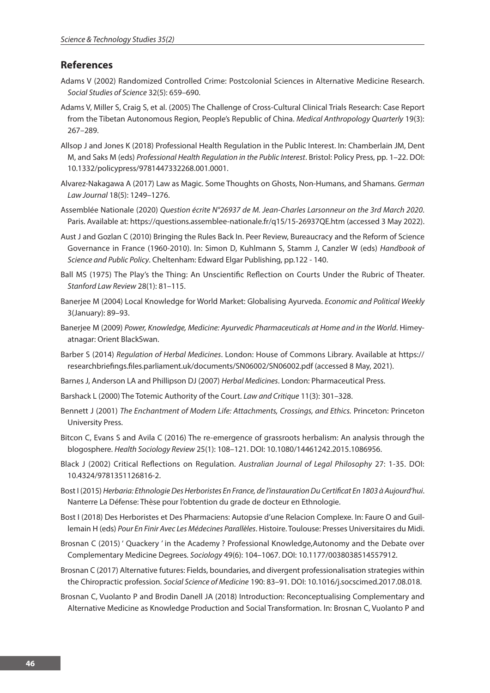## **References**

- Adams V (2002) Randomized Controlled Crime: Postcolonial Sciences in Alternative Medicine Research. *Social Studies of Science* 32(5): 659–690.
- Adams V, Miller S, Craig S, et al. (2005) The Challenge of Cross-Cultural Clinical Trials Research: Case Report from the Tibetan Autonomous Region, People's Republic of China. *Medical Anthropology Quarterly* 19(3): 267–289.
- Allsop J and Jones K (2018) Professional Health Regulation in the Public Interest. In: Chamberlain JM, Dent M, and Saks M (eds) *Professional Health Regulation in the Public Interest*. Bristol: Policy Press, pp. 1–22. DOI: 10.1332/policypress/9781447332268.001.0001.
- Alvarez-Nakagawa A (2017) Law as Magic. Some Thoughts on Ghosts, Non-Humans, and Shamans. *German Law Journal* 18(5): 1249–1276.
- Assemblée Nationale (2020) *Question écrite N°26937 de M. Jean-Charles Larsonneur on the 3rd March 2020*. Paris. Available at: https://questions.assemblee-nationale.fr/q15/15-26937QE.htm (accessed 3 May 2022).
- Aust J and Gozlan C (2010) Bringing the Rules Back In. Peer Review, Bureaucracy and the Reform of Science Governance in France (1960-2010). In: Simon D, Kuhlmann S, Stamm J, Canzler W (eds) *Handbook of Science and Public Policy*. Cheltenham: Edward Elgar Publishing, pp.122 - 140.
- Ball MS (1975) The Play's the Thing: An Unscientific Reflection on Courts Under the Rubric of Theater. *Stanford Law Review* 28(1): 81–115.
- Banerjee M (2004) Local Knowledge for World Market: Globalising Ayurveda. *Economic and Political Weekly* 3(January): 89–93.
- Banerjee M (2009) *Power, Knowledge, Medicine: Ayurvedic Pharmaceuticals at Home and in the World*. Himeyatnagar: Orient BlackSwan.
- Barber S (2014) *Regulation of Herbal Medicines*. London: House of Commons Library. Available at https:// researchbriefings.files.parliament.uk/documents/SN06002/SN06002.pdf (accessed 8 May, 2021).
- Barnes J, Anderson LA and Phillipson DJ (2007) *Herbal Medicines*. London: Pharmaceutical Press.
- Barshack L (2000) The Totemic Authority of the Court. *Law and Critique* 11(3): 301–328.
- Bennett J (2001) *The Enchantment of Modern Life: Attachments, Crossings, and Ethics.* Princeton: Princeton University Press.
- Bitcon C, Evans S and Avila C (2016) The re-emergence of grassroots herbalism: An analysis through the blogosphere. *Health Sociology Review* 25(1): 108–121. DOI: 10.1080/14461242.2015.1086956.
- Black J (2002) Critical Reflections on Regulation. *Australian Journal of Legal Philosophy* 27: 1-35. DOI: 10.4324/9781351126816-2.
- Bost I (2015) *Herbaria: Ethnologie Des Herboristes En France, de l'instauration Du Certificat En 1803 à Aujourd'hui*. Nanterre La Défense: Thèse pour l'obtention du grade de docteur en Ethnologie.
- Bost I (2018) Des Herboristes et Des Pharmaciens: Autopsie d'une Relacion Complexe. In: Faure O and Guillemain H (eds) *Pour En Finir Avec Les Médecines Parallèles*. Histoire. Toulouse: Presses Universitaires du Midi.
- Brosnan C (2015) ' Quackery ' in the Academy ? Professional Knowledge,Autonomy and the Debate over Complementary Medicine Degrees. *Sociology* 49(6): 104–1067. DOI: 10.1177/0038038514557912.
- Brosnan C (2017) Alternative futures: Fields, boundaries, and divergent professionalisation strategies within the Chiropractic profession. *Social Science of Medicine* 190: 83–91. DOI: 10.1016/j.socscimed.2017.08.018.
- Brosnan C, Vuolanto P and Brodin Danell JA (2018) Introduction: Reconceptualising Complementary and Alternative Medicine as Knowledge Production and Social Transformation. In: Brosnan C, Vuolanto P and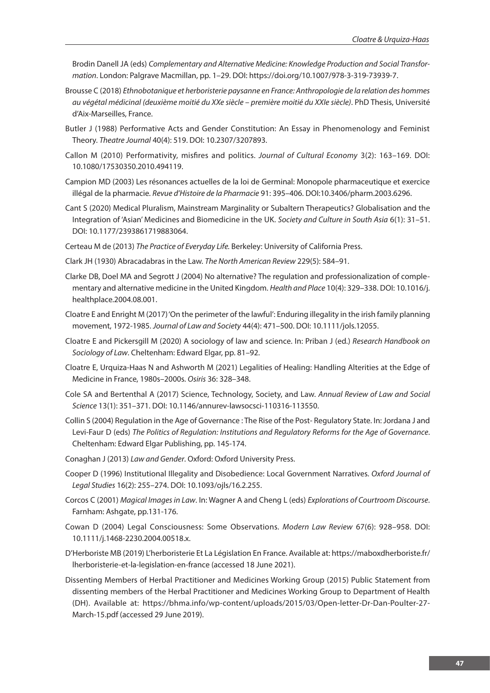Brodin Danell JA (eds) *Complementary and Alternative Medicine: Knowledge Production and Social Transformation*. London: Palgrave Macmillan, pp. 1–29. DOI: https://doi.org/10.1007/978-3-319-73939-7.

- Brousse C (2018) *Ethnobotanique et herboristerie paysanne en France: Anthropologie de la relation des hommes au végétal médicinal (deuxième moitié du XXe siècle – première moitié du XXIe siècle)*. PhD Thesis, Université d'Aix-Marseilles, France.
- Butler J (1988) Performative Acts and Gender Constitution: An Essay in Phenomenology and Feminist Theory. *Theatre Journal* 40(4): 519. DOI: 10.2307/3207893.
- Callon M (2010) Performativity, misfires and politics. *Journal of Cultural Economy* 3(2): 163–169. DOI: 10.1080/17530350.2010.494119.
- Campion MD (2003) Les résonances actuelles de la loi de Germinal: Monopole pharmaceutique et exercice illégal de la pharmacie. *Revue d'Histoire de la Pharmacie* 91: 395–406. DOI:10.3406/pharm.2003.6296.
- Cant S (2020) Medical Pluralism, Mainstream Marginality or Subaltern Therapeutics? Globalisation and the Integration of 'Asian' Medicines and Biomedicine in the UK. *Society and Culture in South Asia* 6(1): 31–51. DOI: 10.1177/2393861719883064.
- Certeau M de (2013) *The Practice of Everyday Life.* Berkeley: University of California Press.
- Clark JH (1930) Abracadabras in the Law. *The North American Review* 229(5): 584–91.
- Clarke DB, Doel MA and Segrott J (2004) No alternative? The regulation and professionalization of complementary and alternative medicine in the United Kingdom. *Health and Place* 10(4): 329–338. DOI: 10.1016/j. healthplace.2004.08.001.
- Cloatre E and Enright M (2017) 'On the perimeter of the lawful': Enduring illegality in the irish family planning movement, 1972-1985. *Journal of Law and Society* 44(4): 471–500. DOI: 10.1111/jols.12055.
- Cloatre E and Pickersgill M (2020) A sociology of law and science. In: Priban J (ed.) *Research Handbook on Sociology of Law*. Cheltenham: Edward Elgar, pp. 81–92.
- Cloatre E, Urquiza-Haas N and Ashworth M (2021) Legalities of Healing: Handling Alterities at the Edge of Medicine in France, 1980s–2000s. *Osiris* 36: 328–348.
- Cole SA and Bertenthal A (2017) Science, Technology, Society, and Law. *Annual Review of Law and Social Science* 13(1): 351–371. DOI: 10.1146/annurev-lawsocsci-110316-113550.
- Collin S (2004) Regulation in the Age of Governance : The Rise of the Post- Regulatory State. In: Jordana J and Levi-Faur D (eds) *The Politics of Regulation: Institutions and Regulatory Reforms for the Age of Governance*. Cheltenham: Edward Elgar Publishing, pp. 145-174.
- Conaghan J (2013) *Law and Gender*. Oxford: Oxford University Press.
- Cooper D (1996) Institutional Illegality and Disobedience: Local Government Narratives. *Oxford Journal of Legal Studies* 16(2): 255–274. DOI: 10.1093/ojls/16.2.255.
- Corcos C (2001) *Magical Images in Law*. In: Wagner A and Cheng L (eds) *Explorations of Courtroom Discourse*. Farnham: Ashgate, pp.131-176.
- Cowan D (2004) Legal Consciousness: Some Observations. *Modern Law Review* 67(6): 928–958. DOI: 10.1111/j.1468-2230.2004.00518.x.
- D'Herboriste MB (2019) L'herboristerie Et La Législation En France. Available at: https://maboxdherboriste.fr/ lherboristerie-et-la-legislation-en-france (accessed 18 June 2021).
- Dissenting Members of Herbal Practitioner and Medicines Working Group (2015) Public Statement from dissenting members of the Herbal Practitioner and Medicines Working Group to Department of Health (DH). Available at: https://bhma.info/wp-content/uploads/2015/03/Open-letter-Dr-Dan-Poulter-27- March-15.pdf (accessed 29 June 2019).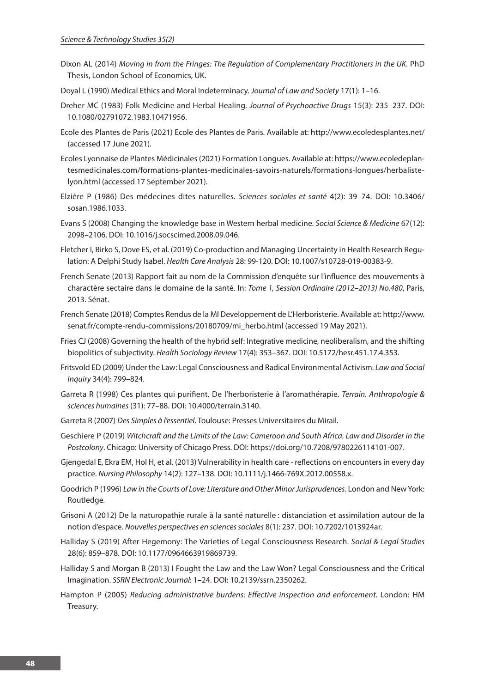- Dixon AL (2014) *Moving in from the Fringes: The Regulation of Complementary Practitioners in the UK*. PhD Thesis, London School of Economics, UK.
- Doyal L (1990) Medical Ethics and Moral Indeterminacy. *Journal of Law and Society* 17(1): 1–16.
- Dreher MC (1983) Folk Medicine and Herbal Healing. *Journal of Psychoactive Drugs* 15(3): 235–237. DOI: 10.1080/02791072.1983.10471956.
- Ecole des Plantes de Paris (2021) Ecole des Plantes de Paris. Available at: http://www.ecoledesplantes.net/ (accessed 17 June 2021).
- Ecoles Lyonnaise de Plantes Médicinales (2021) Formation Longues. Available at: https://www.ecoledeplantesmedicinales.com/formations-plantes-medicinales-savoirs-naturels/formations-longues/herbalistelyon.html (accessed 17 September 2021).
- Elzière P (1986) Des médecines dites naturelles. *Sciences sociales et santé* 4(2): 39–74. DOI: 10.3406/ sosan.1986.1033.
- Evans S (2008) Changing the knowledge base in Western herbal medicine. *Social Science & Medicine* 67(12): 2098–2106. DOI: 10.1016/j.socscimed.2008.09.046.
- Fletcher I, Birko S, Dove ES, et al. (2019) Co-production and Managing Uncertainty in Health Research Regulation: A Delphi Study Isabel. *Health Care Analysis* 28: 99-120. DOI: 10.1007/s10728-019-00383-9.
- French Senate (2013) Rapport fait au nom de la Commission d'enquête sur l'influence des mouvements à charactère sectaire dans le domaine de la santé. In: *Tome 1, Session Ordinaire (2012–2013) No.480*, Paris, 2013. Sénat.
- French Senate (2018) Comptes Rendus de la MI Developpement de L'Herboristerie. Available at: http://www. senat.fr/compte-rendu-commissions/20180709/mi\_herbo.html (accessed 19 May 2021).
- Fries CJ (2008) Governing the health of the hybrid self: Integrative medicine, neoliberalism, and the shifting biopolitics of subjectivity. *Health Sociology Review* 17(4): 353–367. DOI: 10.5172/hesr.451.17.4.353.
- Fritsvold ED (2009) Under the Law: Legal Consciousness and Radical Environmental Activism. *Law and Social Inquiry* 34(4): 799–824.
- Garreta R (1998) Ces plantes qui purifient. De l'herboristerie à l'aromathérapie. *Terrain. Anthropologie & sciences humaines* (31): 77–88. DOI: 10.4000/terrain.3140.
- Garreta R (2007) *Des Simples à l'essentiel*. Toulouse: Presses Universitaires du Mirail.
- Geschiere P (2019) *Witchcraft and the Limits of the Law: Cameroon and South Africa. Law and Disorder in the Postcolony*. Chicago: University of Chicago Press. DOI: https://doi.org/10.7208/9780226114101-007.
- Gjengedal E, Ekra EM, Hol H, et al. (2013) Vulnerability in health care reflections on encounters in every day practice. *Nursing Philosophy* 14(2): 127–138. DOI: 10.1111/j.1466-769X.2012.00558.x.
- Goodrich P (1996) *Law in the Courts of Love: Literature and Other Minor Jurisprudences*. London and New York: Routledge.
- Grisoni A (2012) De la naturopathie rurale à la santé naturelle : distanciation et assimilation autour de la notion d'espace. *Nouvelles perspectives en sciences sociales* 8(1): 237. DOI: 10.7202/1013924ar.
- Halliday S (2019) After Hegemony: The Varieties of Legal Consciousness Research. *Social & Legal Studies* 28(6): 859–878. DOI: 10.1177/0964663919869739.
- Halliday S and Morgan B (2013) I Fought the Law and the Law Won? Legal Consciousness and the Critical Imagination. *SSRN Electronic Journal*: 1–24. DOI: 10.2139/ssrn.2350262.
- Hampton P (2005) *Reducing administrative burdens: Effective inspection and enforcement.* London: HM Treasury.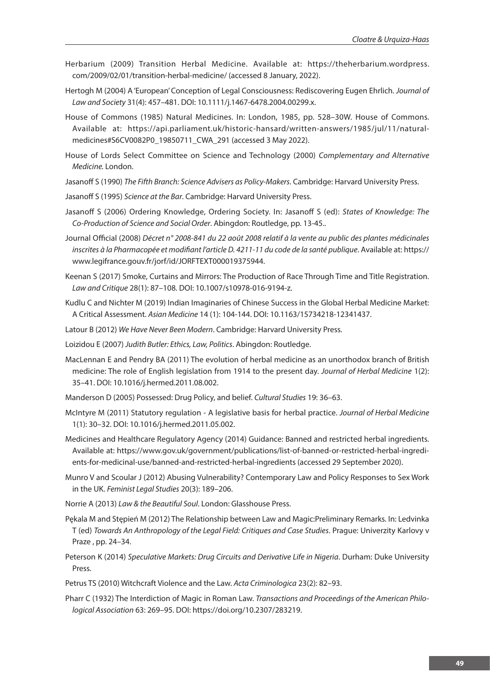- Herbarium (2009) Transition Herbal Medicine. Available at: https://theherbarium.wordpress. com/2009/02/01/transition-herbal-medicine/ (accessed 8 January, 2022).
- Hertogh M (2004) A 'European' Conception of Legal Consciousness: Rediscovering Eugen Ehrlich. *Journal of Law and Society* 31(4): 457–481. DOI: 10.1111/j.1467-6478.2004.00299.x.
- House of Commons (1985) Natural Medicines. In: London, 1985, pp. 528–30W. House of Commons. Available at: https://api.parliament.uk/historic-hansard/written-answers/1985/jul/11/naturalmedicines#S6CV0082P0\_19850711\_CWA\_291 (accessed 3 May 2022).
- House of Lords Select Committee on Science and Technology (2000) *Complementary and Alternative Medicine.* London.
- Jasanoff S (1990) *The Fifth Branch: Science Advisers as Policy-Makers*. Cambridge: Harvard University Press.
- Jasanoff S (1995) *Science at the Bar*. Cambridge: Harvard University Press.
- Jasanoff S (2006) Ordering Knowledge, Ordering Society. In: Jasanoff S (ed): *States of Knowledge: The Co-Production of Science and Social Order*. Abingdon: Routledge, pp. 13-45..
- Journal Official (2008) *Décret n° 2008-841 du 22 août 2008 relatif à la vente au public des plantes médicinales inscrites à la Pharmacopée et modifiant l'article D. 4211-11 du code de la santé publique*. Available at: https:// www.legifrance.gouv.fr/jorf/id/JORFTEXT000019375944.
- Keenan S (2017) Smoke, Curtains and Mirrors: The Production of Race Through Time and Title Registration. *Law and Critique* 28(1): 87–108. DOI: 10.1007/s10978-016-9194-z.
- Kudlu C and Nichter M (2019) Indian Imaginaries of Chinese Success in the Global Herbal Medicine Market: A Critical Assessment. *Asian Medicine* 14 (1): 104-144. DOI: 10.1163/15734218-12341437.
- Latour B (2012) *We Have Never Been Modern*. Cambridge: Harvard University Press.
- Loizidou E (2007) *Judith Butler: Ethics, Law, Politics*. Abingdon: Routledge.
- MacLennan E and Pendry BA (2011) The evolution of herbal medicine as an unorthodox branch of British medicine: The role of English legislation from 1914 to the present day. *Journal of Herbal Medicine* 1(2): 35–41. DOI: 10.1016/j.hermed.2011.08.002.
- Manderson D (2005) Possessed: Drug Policy, and belief. *Cultural Studies* 19: 36–63.
- McIntyre M (2011) Statutory regulation A legislative basis for herbal practice. *Journal of Herbal Medicine* 1(1): 30–32. DOI: 10.1016/j.hermed.2011.05.002.
- Medicines and Healthcare Regulatory Agency (2014) Guidance: Banned and restricted herbal ingredients. Available at: https://www.gov.uk/government/publications/list-of-banned-or-restricted-herbal-ingredients-for-medicinal-use/banned-and-restricted-herbal-ingredients (accessed 29 September 2020).
- Munro V and Scoular J (2012) Abusing Vulnerability? Contemporary Law and Policy Responses to Sex Work in the UK. *Feminist Legal Studies* 20(3): 189–206.
- Norrie A (2013) *Law & the Beautiful Soul*. London: Glasshouse Press.
- Pękala M and Stępień M (2012) The Relationship between Law and Magic:Preliminary Remarks. In: Ledvinka T (ed) *Towards An Anthropology of the Legal Field: Critiques and Case Studies*. Prague: Univerzity Karlovy v Praze , pp. 24–34.
- Peterson K (2014) *Speculative Markets: Drug Circuits and Derivative Life in Nigeria*. Durham: Duke University Press.
- Petrus TS (2010) Witchcraft Violence and the Law. *Acta Criminologica* 23(2): 82–93.
- Pharr C (1932) The Interdiction of Magic in Roman Law. *Transactions and Proceedings of the American Philological Association* 63: 269–95. DOI: https://doi.org/10.2307/283219.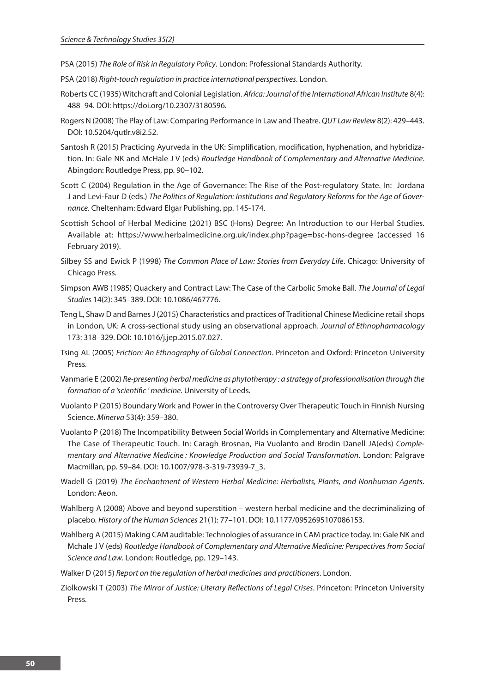- PSA (2015) *The Role of Risk in Regulatory Policy*. London: Professional Standards Authority.
- PSA (2018) *Right-touch regulation in practice international perspectives*. London.
- Roberts CC (1935) Witchcraft and Colonial Legislation. *Africa: Journal of the International African Institute* 8(4): 488–94. DOI: https://doi.org/10.2307/3180596.
- Rogers N (2008) The Play of Law: Comparing Performance in Law and Theatre. *QUT Law Review* 8(2): 429–443. DOI: 10.5204/qutlr.v8i2.52.
- Santosh R (2015) Practicing Ayurveda in the UK: Simplification, modification, hyphenation, and hybridization. In: Gale NK and McHale J V (eds) *Routledge Handbook of Complementary and Alternative Medicine*. Abingdon: Routledge Press, pp. 90–102.
- Scott C (2004) Regulation in the Age of Governance: The Rise of the Post-regulatory State. In: Jordana J and Levi-Faur D (eds.) *The Politics of Regulation: Institutions and Regulatory Reforms for the Age of Governance*. Cheltenham: Edward Elgar Publishing, pp. 145-174.
- Scottish School of Herbal Medicine (2021) BSC (Hons) Degree: An Introduction to our Herbal Studies. Available at: https://www.herbalmedicine.org.uk/index.php?page=bsc-hons-degree (accessed 16 February 2019).
- Silbey SS and Ewick P (1998) *The Common Place of Law: Stories from Everyday Life*. Chicago: University of Chicago Press.
- Simpson AWB (1985) Quackery and Contract Law: The Case of the Carbolic Smoke Ball. *The Journal of Legal Studies* 14(2): 345–389. DOI: 10.1086/467776.
- Teng L, Shaw D and Barnes J (2015) Characteristics and practices of Traditional Chinese Medicine retail shops in London, UK: A cross-sectional study using an observational approach. *Journal of Ethnopharmacology* 173: 318–329. DOI: 10.1016/j.jep.2015.07.027.
- Tsing AL (2005) *Friction: An Ethnography of Global Connection*. Princeton and Oxford: Princeton University Press.
- Vanmarie E (2002) *Re-presenting herbal medicine as phytotherapy : a strategy of professionalisation through the formation of a 'scientific ' medicine*. University of Leeds.
- Vuolanto P (2015) Boundary Work and Power in the Controversy Over Therapeutic Touch in Finnish Nursing Science. *Minerva* 53(4): 359–380.
- Vuolanto P (2018) The Incompatibility Between Social Worlds in Complementary and Alternative Medicine: The Case of Therapeutic Touch. In: Caragh Brosnan, Pia Vuolanto and Brodin Danell JA(eds) *Complementary and Alternative Medicine : Knowledge Production and Social Transformation*. London: Palgrave Macmillan, pp. 59–84. DOI: 10.1007/978-3-319-73939-7\_3.
- Wadell G (2019) *The Enchantment of Western Herbal Medicine: Herbalists, Plants, and Nonhuman Agents*. London: Aeon.
- Wahlberg A (2008) Above and beyond superstition western herbal medicine and the decriminalizing of placebo. *History of the Human Sciences* 21(1): 77–101. DOI: 10.1177/0952695107086153.
- Wahlberg A (2015) Making CAM auditable: Technologies of assurance in CAM practice today. In: Gale NK and Mchale J V (eds) *Routledge Handbook of Complementary and Alternative Medicine: Perspectives from Social Science and Law*. London: Routledge, pp. 129–143.
- Walker D (2015) *Report on the regulation of herbal medicines and practitioners*. London.
- Ziolkowski T (2003) *The Mirror of Justice: Literary Reflections of Legal Crises*. Princeton: Princeton University Press.